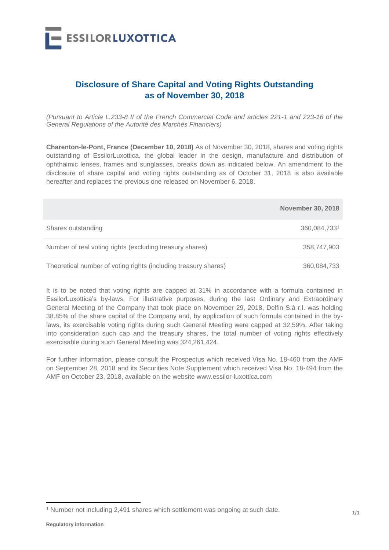

## **Disclosure of Share Capital and Voting Rights Outstanding as of November 30, 2018**

*(Pursuant to Article L.233-8 II of the French Commercial Code and articles 221-1 and 223-16 of the General Regulations of the Autorité des Marchés Financiers)*

**Charenton-le-Pont, France (December 10, 2018)** As of November 30, 2018, shares and voting rights outstanding of EssilorLuxottica, the global leader in the design, manufacture and distribution of ophthalmic lenses, frames and sunglasses, breaks down as indicated below. An amendment to the disclosure of share capital and voting rights outstanding as of October 31, 2018 is also available hereafter and replaces the previous one released on November 6, 2018.

|                                                                 | <b>November 30, 2018</b> |
|-----------------------------------------------------------------|--------------------------|
| Shares outstanding                                              | 360,084,7331             |
| Number of real voting rights (excluding treasury shares)        | 358,747,903              |
| Theoretical number of voting rights (including treasury shares) | 360,084,733              |

It is to be noted that voting rights are capped at 31% in accordance with a formula contained in EssilorLuxottica's by-laws. For illustrative purposes, during the last Ordinary and Extraordinary General Meeting of the Company that took place on November 29, 2018, Delfin S.à r.l. was holding 38.85% of the share capital of the Company and, by application of such formula contained in the bylaws, its exercisable voting rights during such General Meeting were capped at 32.59%. After taking into consideration such cap and the treasury shares, the total number of voting rights effectively exercisable during such General Meeting was 324,261,424.

For further information, please consult the Prospectus which received Visa No. 18-460 from the AMF on September 28, 2018 and its Securities Note Supplement which received Visa No. 18-494 from the AMF on October 23, 2018, available on the website www.essilor-luxottica.com

 $\overline{a}$ 

<sup>&</sup>lt;sup>1</sup> Number not including 2,491 shares which settlement was ongoing at such date.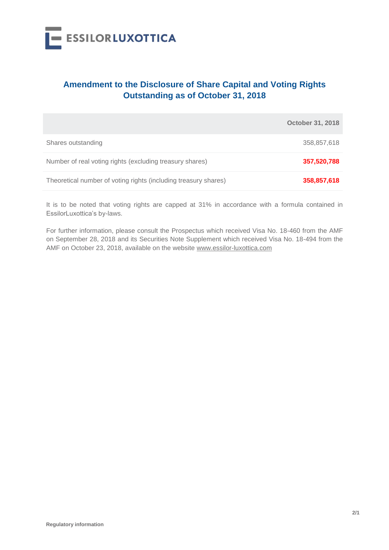

## **Amendment to the Disclosure of Share Capital and Voting Rights Outstanding as of October 31, 2018**

|                                                                 | <b>October 31, 2018</b> |
|-----------------------------------------------------------------|-------------------------|
| Shares outstanding                                              | 358,857,618             |
| Number of real voting rights (excluding treasury shares)        | 357,520,788             |
| Theoretical number of voting rights (including treasury shares) | 358,857,618             |

It is to be noted that voting rights are capped at 31% in accordance with a formula contained in EssilorLuxottica's by-laws.

For further information, please consult the Prospectus which received Visa No. 18-460 from the AMF on September 28, 2018 and its Securities Note Supplement which received Visa No. 18-494 from the AMF on October 23, 2018, available on the website www.essilor-luxottica.com